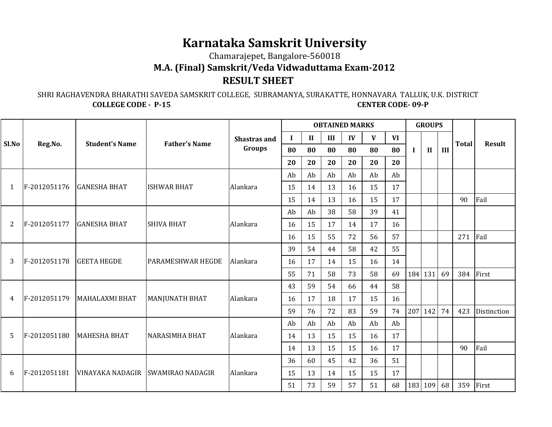## **Karnataka Samskrit University**

Chamarajepet, Bangalore‐560018

**M.A. (Final) Samskrit/Veda Vidwaduttama Exam-2012**

## **RESULT SHEET**

 SHRI RAGHAVENDRA BHARATHI SAVEDA SAMSKRIT COLLEGE, SUBRAMANYA, SURAKATTE, HONNAVARA TALLUK, U.K. DISTRICT**COLLEGE CODE - P-15 CENTER CODE- 09-P** 

|                | Reg.No.      | <b>Student's Name</b>             |                          | <b>OBTAINED MARKS</b>                                                                                                |    |              |     |      | <b>GROUPS</b> |           |             |              |     |              |               |
|----------------|--------------|-----------------------------------|--------------------------|----------------------------------------------------------------------------------------------------------------------|----|--------------|-----|------|---------------|-----------|-------------|--------------|-----|--------------|---------------|
| Sl.No          |              |                                   | <b>Father's Name</b>     | <b>Shastras and</b><br>Groups                                                                                        |    | $\mathbf{I}$ | III | IV   | $\mathbf{V}$  | <b>VI</b> |             |              |     | <b>Total</b> | <b>Result</b> |
|                |              |                                   |                          |                                                                                                                      | 80 | 80           | 80  | 80   | 80            | 80        | $\mathbf I$ | $\mathbf{I}$ | III |              |               |
|                |              |                                   |                          |                                                                                                                      | 20 | 20           | 20  | 20   | 20            | 20        |             |              |     |              |               |
| $\mathbf{1}$   | F-2012051176 | <b>GANESHA BHAT</b>               |                          | Ab<br>Ab<br>Ab<br>Ab<br>Ab<br>Ab<br>17<br>Alankara<br>13<br>15<br>15<br>14<br>16<br>15<br>17<br>13<br>15<br>14<br>16 |    |              |     |      |               |           |             |              |     |              |               |
|                |              |                                   | <b>ISHWAR BHAT</b>       |                                                                                                                      |    |              |     |      |               |           |             |              |     |              |               |
|                |              |                                   |                          |                                                                                                                      |    |              |     |      |               |           |             |              |     | 90           | Fail          |
|                | F-2012051177 | <b>GANESHA BHAT</b>               |                          | 38<br>58<br>39<br>41<br>Ab<br>Ab<br>Alankara<br>15<br>17<br>17<br>16<br>16<br>14<br>55<br>57<br>15<br>72<br>56<br>16 |    |              |     |      |               |           |             |              |     |              |               |
| $\overline{2}$ |              |                                   | <b>SHIVA BHAT</b>        |                                                                                                                      |    |              |     |      |               |           |             |              |     |              |               |
|                |              |                                   |                          |                                                                                                                      |    |              |     |      |               |           |             |              |     | 271          | Fail          |
| 3              | F-2012051178 | <b>GEETA HEGDE</b>                |                          |                                                                                                                      | 39 | 54           | 44  | 58   | 42            | 55        |             |              |     |              |               |
|                |              |                                   | <b>PARAMESHWAR HEGDE</b> | Alankara                                                                                                             | 16 | 17           | 14  | 15   | 16            | 14        |             |              |     |              |               |
|                |              |                                   |                          |                                                                                                                      | 55 | 71           | 58  | 73   | 58            | 69        |             | 184 131      | 69  | 384          | First         |
| 4              | F-2012051179 | <b>MAHALAXMI BHAT</b>             | <b>MANJUNATH BHAT</b>    | Alankara                                                                                                             | 43 | 59           | 54  | 66   | 44            | 58        |             |              |     |              |               |
|                |              |                                   |                          |                                                                                                                      | 16 | 17           | 18  | 17   | 15            | 16        |             |              |     |              |               |
|                |              |                                   |                          |                                                                                                                      | 59 | 76           | 72  | 83   | 59            | 74        |             | 207 142      | 74  | 423          | Distinction   |
|                | F-2012051180 | <b>MAHESHA BHAT</b>               |                          | Ab<br>Ab<br>Ab<br>Ab<br>Ab<br>Ab<br>17<br>Alankara<br>13<br>15<br>15<br>16<br>14<br>13<br>15<br>17<br>15<br>16<br>14 |    |              |     |      |               |           |             |              |     |              |               |
| 5              |              |                                   | <b>NARASIMHA BHAT</b>    |                                                                                                                      |    |              |     |      |               |           |             |              |     |              |               |
|                |              |                                   |                          |                                                                                                                      |    |              | 90  | Fail |               |           |             |              |     |              |               |
| 6              | F-2012051181 | VINAYAKA NADAGIR SWAMIRAO NADAGIR |                          | Alankara                                                                                                             | 36 | 60           | 45  | 42   | 36            | 51        |             |              |     |              |               |
|                |              |                                   |                          |                                                                                                                      | 15 | 13           | 14  | 15   | 15            | 17        |             |              |     |              |               |
|                |              |                                   |                          |                                                                                                                      | 51 | 73           | 59  | 57   | 51            | 68        | 183 109     |              | 68  | 359          | First         |